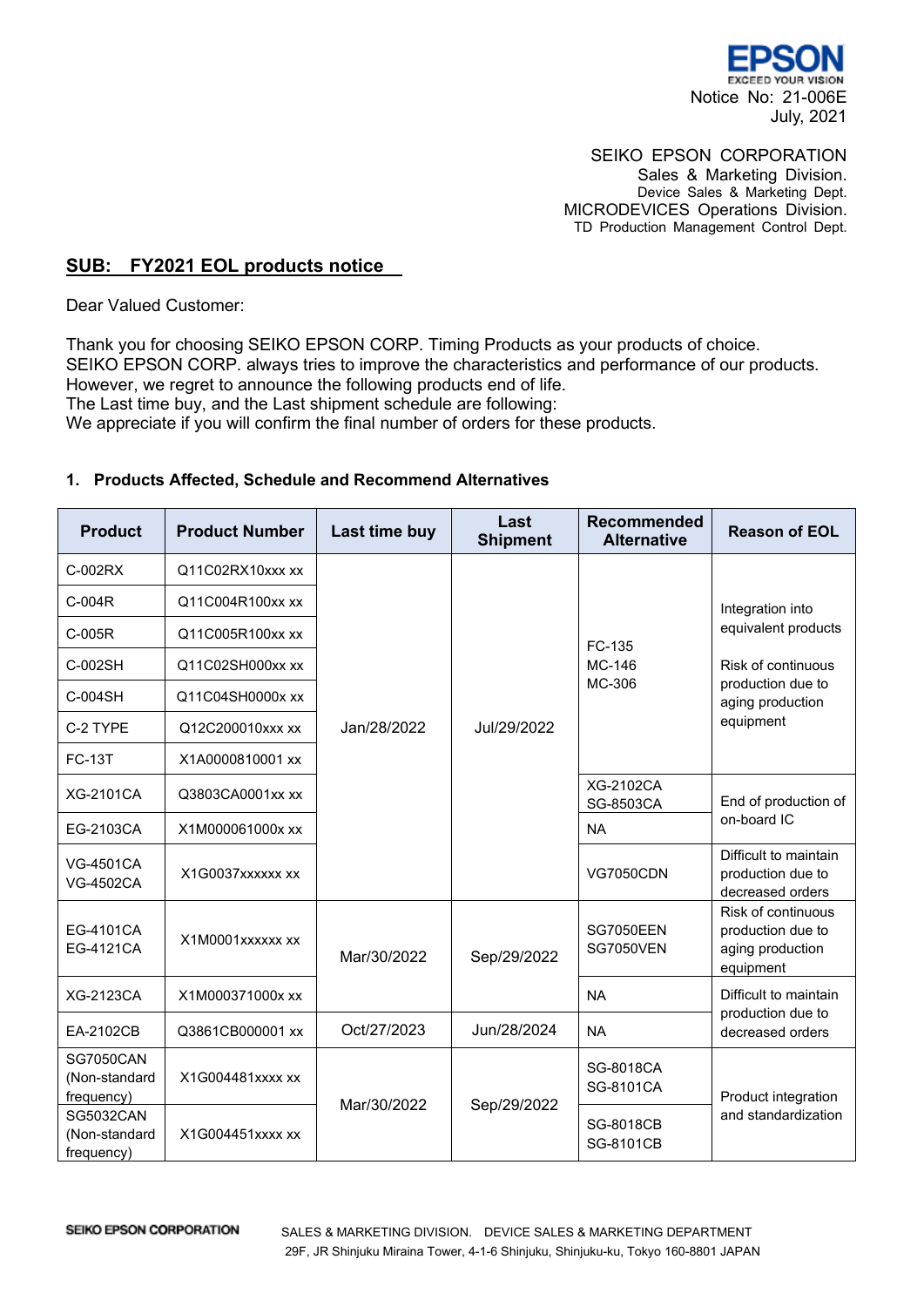

## SEIKO EPSON CORPORATION

Sales & Marketing Division. Device Sales & Marketing Dept. MICRODEVICES Operations Division. TD Production Management Control Dept.

## **SUB: FY2021 EOL products notice**

Dear Valued Customer:

Thank you for choosing SEIKO EPSON CORP. Timing Products as your products of choice. SEIKO EPSON CORP. always tries to improve the characteristics and performance of our products. However, we regret to announce the following products end of life. The Last time buy, and the Last shipment schedule are following: We appreciate if you will confirm the final number of orders for these products.

## **1. Products Affected, Schedule and Recommend Alternatives**

| <b>Product</b>                                  | <b>Product Number</b> | Last time buy | Last<br><b>Shipment</b> | <b>Recommended</b><br><b>Alternative</b> | <b>Reason of EOL</b>                                                                                                |
|-------------------------------------------------|-----------------------|---------------|-------------------------|------------------------------------------|---------------------------------------------------------------------------------------------------------------------|
| C-002RX                                         | Q11C02RX10xxx xx      | Jan/28/2022   | Jul/29/2022             | FC-135<br>MC-146<br>MC-306               |                                                                                                                     |
| C-004R                                          | Q11C004R100xx xx      |               |                         |                                          | Integration into<br>equivalent products<br>Risk of continuous<br>production due to<br>aging production<br>equipment |
| C-005R                                          | Q11C005R100xx xx      |               |                         |                                          |                                                                                                                     |
| C-002SH                                         | Q11C02SH000xx xx      |               |                         |                                          |                                                                                                                     |
| C-004SH                                         | Q11C04SH0000x xx      |               |                         |                                          |                                                                                                                     |
| C-2 TYPE                                        | Q12C200010xxx xx      |               |                         |                                          |                                                                                                                     |
| <b>FC-13T</b>                                   | X1A0000810001 xx      |               |                         |                                          |                                                                                                                     |
| <b>XG-2101CA</b>                                | Q3803CA0001xx xx      |               |                         | XG-2102CA<br>SG-8503CA                   | End of production of<br>on-board IC                                                                                 |
| EG-2103CA                                       | X1M000061000x xx      |               |                         | <b>NA</b>                                |                                                                                                                     |
| <b>VG-4501CA</b><br><b>VG-4502CA</b>            | X1G0037xxxxxx xx      |               |                         | <b>VG7050CDN</b>                         | Difficult to maintain<br>production due to<br>decreased orders                                                      |
| EG-4101CA<br>EG-4121CA                          | X1M0001xxxxxx xx      | Mar/30/2022   | Sep/29/2022             | <b>SG7050EEN</b><br><b>SG7050VEN</b>     | Risk of continuous<br>production due to<br>aging production<br>equipment                                            |
| <b>XG-2123CA</b>                                | X1M000371000x xx      |               |                         | <b>NA</b>                                | Difficult to maintain                                                                                               |
| EA-2102CB                                       | Q3861CB000001 xx      | Oct/27/2023   | Jun/28/2024             | <b>NA</b>                                | production due to<br>decreased orders                                                                               |
| <b>SG7050CAN</b><br>(Non-standard<br>frequency) | X1G004481xxxx xx      | Mar/30/2022   | Sep/29/2022             | SG-8018CA<br>SG-8101CA                   | Product integration<br>and standardization                                                                          |
| <b>SG5032CAN</b><br>(Non-standard<br>frequency) | X1G004451xxxx xx      |               |                         | <b>SG-8018CB</b><br>SG-8101CB            |                                                                                                                     |